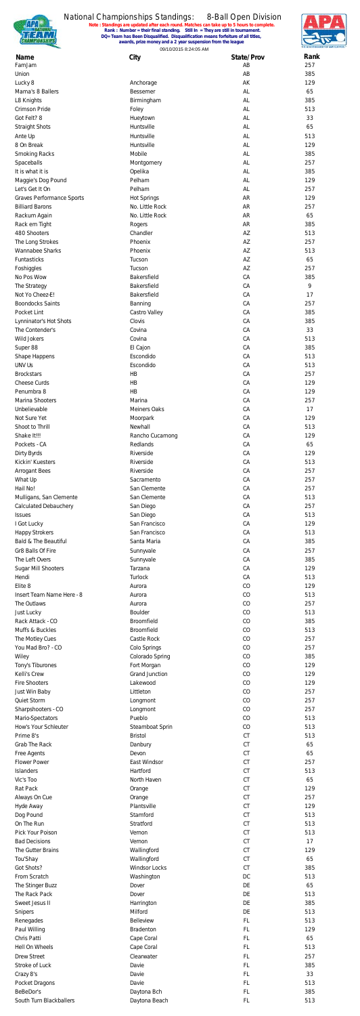

**Note : Standings are updated after each round. Matches can take up to 5 hours to complete. Rank : Number = their final standing. Still In = They are still in tournament. DQ= Team has Been Disqualified. Disqualification means forfeiture of all titles, awards, prize money and a 2 year suspension from the league**



09/10/2015 8:24:05 AM

| Name                                                       | City                                  | State/Prov             | Rank       |
|------------------------------------------------------------|---------------------------------------|------------------------|------------|
| FamJam<br>Union                                            |                                       | AB<br>AB               | 257<br>385 |
| Lucky 8                                                    | Anchorage                             | AK                     | 129        |
| Mama's 8 Ballers                                           | Bessemer                              | AL                     | 65         |
| L8 Knights<br>Crimson Pride                                | Birmingham<br>Foley                   | AL<br>AL               | 385<br>513 |
| Got Felt? 8                                                | Hueytown                              | AL                     | 33         |
| <b>Straight Shots</b>                                      | Huntsville                            | AL                     | 65         |
| Ante Up                                                    | Huntsville                            | AL                     | 513        |
| 8 On Break<br><b>Smoking Racks</b>                         | Huntsville<br>Mobile                  | AL<br>AL               | 129<br>385 |
| Spaceballs                                                 | Montgomery                            | AL                     | 257        |
| It is what it is                                           | Opelika                               | AL                     | 385        |
| Maggie's Dog Pound                                         | Pelham                                | AL                     | 129        |
| Let's Get It On                                            | Pelham                                | AL                     | 257        |
| <b>Graves Performance Sports</b><br><b>Billiard Barons</b> | <b>Hot Springs</b><br>No. Little Rock | <b>AR</b><br><b>AR</b> | 129<br>257 |
| Rackum Again                                               | No. Little Rock                       | <b>AR</b>              | 65         |
| Rack em Tight                                              | Rogers                                | <b>AR</b>              | 385        |
| 480 Shooters                                               | Chandler                              | AZ                     | 513        |
| The Long Strokes<br><b>Wannabee Sharks</b>                 | Phoenix<br>Phoenix                    | AZ<br>AZ               | 257<br>513 |
| Funtasticks                                                | Tucson                                | AZ                     | 65         |
| Foshiggles                                                 | Tucson                                | AZ                     | 257        |
| No Pos Wow                                                 | Bakersfield                           | CA                     | 385        |
| The Strategy                                               | Bakersfield                           | CA                     | 9          |
| Not Yo Cheez-E!<br><b>Boondocks Saints</b>                 | Bakersfield<br>Banning                | CA<br>CA               | 17<br>257  |
| Pocket Lint                                                | Castro Valley                         | CA                     | 385        |
| Lynninator's Hot Shots                                     | Clovis                                | CA                     | 385        |
| The Contender's                                            | Covina                                | CA                     | 33         |
| Wild Jokers<br>Super 88                                    | Covina<br>El Cajon                    | CA<br>CA               | 513<br>385 |
| Shape Happens                                              | Escondido                             | CA                     | 513        |
| <b>UNV Us</b>                                              | Escondido                             | CA                     | 513        |
| <b>Brockstars</b>                                          | HB                                    | CA                     | 257        |
| Cheese Curds                                               | HB                                    | CA                     | 129        |
| Penumbra 8<br>Marina Shooters                              | HB<br>Marina                          | CA<br>CA               | 129<br>257 |
| Unbelievable                                               | <b>Meiners Oaks</b>                   | CA                     | 17         |
| Not Sure Yet                                               | Moorpark                              | CA                     | 129        |
| Shoot to Thrill                                            | Newhall                               | CA                     | 513        |
| Shake It!!!<br>Pockets - CA                                | Rancho Cucamong<br>Redlands           | CA<br>CA               | 129<br>65  |
| Dirty Byrds                                                | Riverside                             | CA                     | 129        |
| Kickin' Kuesters                                           | Riverside                             | CA                     | 513        |
| <b>Arrogant Bees</b>                                       | Riverside                             | CA                     | 257        |
| What Up<br>Hail No!                                        | Sacramento<br>San Clemente            | CA                     | 257        |
| Mulligans, San Clemente                                    | San Clemente                          | CA<br>CA               | 257<br>513 |
| <b>Calculated Debauchery</b>                               | San Diego                             | CA                     | 257        |
| <b>Issues</b>                                              | San Diego                             | CA                     | 513        |
| I Got Lucky                                                | San Francisco                         | CA                     | 129        |
| <b>Happy Strokers</b><br>Bald & The Beautiful              | San Francisco<br>Santa Maria          | CA<br>CA               | 513<br>385 |
| Gr8 Balls Of Fire                                          | Sunnyvale                             | CA                     | 257        |
| The Left Overs                                             | Sunnyvale                             | CA                     | 385        |
| Sugar Mill Shooters                                        | Tarzana                               | CA                     | 129        |
| Hendi                                                      | Turlock                               | CA                     | 513        |
| Elite 8<br>Insert Team Name Here - 8                       | Aurora<br>Aurora                      | CO<br>CO               | 129<br>513 |
| The Outlaws                                                | Aurora                                | CO                     | 257        |
| Just Lucky                                                 | Boulder                               | CO                     | 513        |
| Rack Attack - CO                                           | Broomfield                            | CO                     | 385        |
| Muffs & Buckles<br>The Motley Cues                         | Broomfield<br>Castle Rock             | CO<br>CO               | 513<br>257 |
| You Mad Bro? - CO                                          | Colo Springs                          | CO                     | 257        |
| Wiley                                                      | Colorado Spring                       | CO                     | 385        |
| Tony's Tiburones                                           | Fort Morgan                           | CO                     | 129        |
| Kelli's Crew<br><b>Fire Shooters</b>                       | <b>Grand Junction</b><br>Lakewood     | CO<br>CO               | 129<br>129 |
| Just Win Baby                                              | Littleton                             | CO                     | 257        |
| Quiet Storm                                                | Longmont                              | CO                     | 257        |
| Sharpshooters - CO                                         | Longmont                              | CO                     | 257        |
| Mario-Spectators<br>How's Your Schleuter                   | Pueblo<br>Steamboat Sprin             | CO<br>CO               | 513<br>513 |
| Prime 8's                                                  | <b>Bristol</b>                        | CT                     | 513        |
| <b>Grab The Rack</b>                                       | Danbury                               | $\mathsf{C}\mathsf{T}$ | 65         |
| Free Agents                                                | Devon                                 | CT                     | 65         |
| <b>Flower Power</b>                                        | East Windsor                          | CT                     | 257        |
| <b>Islanders</b><br>Vic's Too                              | Hartford<br>North Haven               | CT<br>CT               | 513<br>65  |
| Rat Pack                                                   | Orange                                | CT                     | 129        |
| Always On Cue                                              | Orange                                | CT                     | 257        |
| Hyde Away                                                  | Plantsville                           | CT                     | 129        |
| Dog Pound<br>On The Run                                    | Stamford<br>Stratford                 | CT<br>CT               | 513<br>513 |
| Pick Your Poison                                           | Vernon                                | <b>CT</b>              | 513        |
| <b>Bad Decisions</b>                                       | Vernon                                | <b>CT</b>              | 17         |
| The Gutter Brains                                          | Wallingford                           | CT                     | 129        |
| Tou'Shay                                                   | Wallingford                           | CT                     | 65         |
| Got Shots?<br>From Scratch                                 | <b>Windsor Locks</b><br>Washington    | <b>CT</b><br>DC        | 385<br>513 |
| The Stinger Buzz                                           | Dover                                 | DE                     | 65         |
| The Rack Pack                                              | Dover                                 | DE                     | 513        |
| Sweet Jesus II                                             | Harrington                            | DE                     | 385        |
| Snipers                                                    | Milford<br><b>Belleview</b>           | DE<br>FL.              | 513<br>513 |
| Renegades<br>Paul Willing                                  | <b>Bradenton</b>                      | FL.                    | 129        |
| Chris Patti                                                | Cape Coral                            | FL.                    | 65         |
| Hell On Wheels                                             | Cape Coral                            | FL.                    | 513        |
| <b>Drew Street</b>                                         | Clearwater                            | FL.                    | 257        |
| Stroke of Luck<br>Crazy 8's                                | Davie<br>Davie                        | FL.<br>FL.             | 385<br>33  |
| Pocket Dragons                                             | Davie                                 | FL.                    | 513        |
| BeBeDor's                                                  | Daytona Bch                           | FL.                    | 385        |
| South Turn Blackballers                                    | Daytona Beach                         | FL.                    | 513        |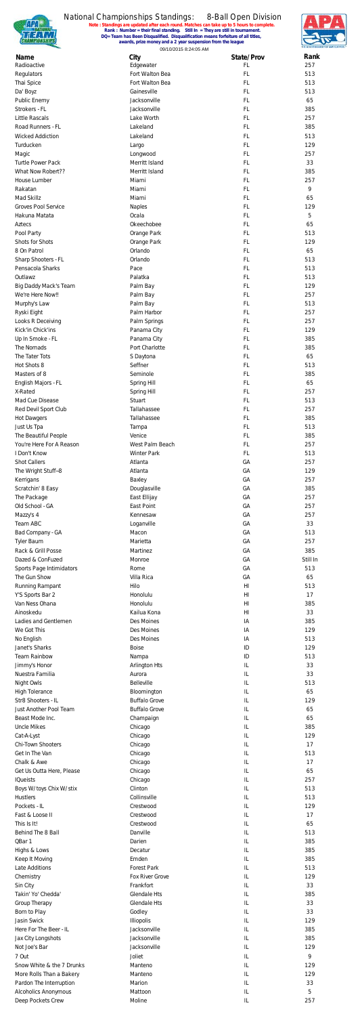

# National Championships Standings:

**Note : Standings are updated after each round. Matches can take up to 5 hours to complete. Rank : Number = their final standing. Still In = They are still in tournament.** 8-Ball Open Division **DQ= Team has Been Disqualified. Disqualification means forfeiture of all titles, awards, prize money and a 2 year suspension from the league**





| Name                                                   | City                         | State/Prov                       | Rank       |
|--------------------------------------------------------|------------------------------|----------------------------------|------------|
| Radioactive                                            | Edgewater<br>Fort Walton Bea | <b>FL</b><br><b>FL</b>           | 257<br>513 |
| Regulators<br>Thai Spice                               | Fort Walton Bea              | <b>FL</b>                        | 513        |
| Da' Boyz                                               | Gainesville                  | <b>FL</b>                        | 513        |
| Public Enemy                                           | Jacksonville                 | <b>FL</b>                        | 65         |
| Strokers - FL                                          | Jacksonville                 | <b>FL</b>                        | 385        |
| <b>Little Rascals</b>                                  | Lake Worth                   | <b>FL</b>                        | 257        |
| Road Runners - FL                                      | Lakeland                     | <b>FL</b>                        | 385        |
| <b>Wicked Addiction</b>                                | Lakeland                     | <b>FL</b>                        | 513        |
| Turducken                                              | Largo                        | <b>FL</b>                        | 129        |
| Magic                                                  | Longwood                     | <b>FL</b>                        | 257        |
| <b>Turtle Power Pack</b>                               | Merritt Island               | <b>FL</b>                        | 33         |
| What Now Robert??                                      | Merritt Island               | <b>FL</b>                        | 385        |
| House Lumber                                           | Miami                        | <b>FL</b>                        | 257        |
| Rakatan<br>Mad Skillz                                  | Miami<br>Miami               | <b>FL</b><br><b>FL</b>           | 9          |
| <b>Groves Pool Service</b>                             | <b>Naples</b>                | <b>FL</b>                        | 65<br>129  |
| Hakuna Matata                                          | Ocala                        | <b>FL</b>                        | 5          |
| Aztecs                                                 | Okeechobee                   | <b>FL</b>                        | 65         |
| Pool Party                                             | Orange Park                  | <b>FL</b>                        | 513        |
| Shots for Shots                                        | Orange Park                  | <b>FL</b>                        | 129        |
| 8 On Patrol                                            | Orlando                      | <b>FL</b>                        | 65         |
| Sharp Shooters - FL                                    | Orlando                      | <b>FL</b>                        | 513        |
| Pensacola Sharks                                       | Pace                         | <b>FL</b>                        | 513        |
| Outlawz                                                | Palatka                      | <b>FL</b>                        | 513        |
| Big Daddy Mack's Team                                  | Palm Bay                     | <b>FL</b>                        | 129        |
| We're Here Now!!                                       | Palm Bay                     | <b>FL</b>                        | 257        |
| Murphy's Law                                           | Palm Bay                     | <b>FL</b>                        | 513        |
| Ryski Eight                                            | Palm Harbor                  | <b>FL</b>                        | 257        |
| Looks R Deceiving                                      | Palm Springs                 | <b>FL</b>                        | 257        |
| Kick'in Chick'ins                                      | Panama City                  | <b>FL</b>                        | 129        |
| Up In Smoke - FL                                       | Panama City                  | <b>FL</b>                        | 385        |
| The Nomads                                             | Port Charlotte               | <b>FL</b>                        | 385        |
| The Tater Tots                                         | S Daytona                    | <b>FL</b>                        | 65         |
| Hot Shots 8                                            | Seffner                      | <b>FL</b>                        | 513        |
| Masters of 8                                           | Seminole                     | <b>FL</b><br><b>FL</b>           | 385<br>65  |
| English Majors - FL                                    | Spring Hill                  |                                  |            |
| X-Rated<br>Mad Cue Disease                             | Spring Hill<br>Stuart        | <b>FL</b><br><b>FL</b>           | 257<br>513 |
| Red Devil Sport Club                                   | Tallahassee                  | <b>FL</b>                        | 257        |
| <b>Hot Dawgers</b>                                     | Tallahassee                  | <b>FL</b>                        | 385        |
| Just Us Tpa                                            | Tampa                        | <b>FL</b>                        | 513        |
| The Beautiful People                                   | Venice                       | <b>FL</b>                        | 385        |
| You're Here For A Reason                               | West Palm Beach              | <b>FL</b>                        | 257        |
| I Don't Know                                           | <b>Winter Park</b>           | <b>FL</b>                        | 513        |
| <b>Shot Callers</b>                                    | Atlanta                      | GA                               | 257        |
| The Wright Stuff--8                                    | Atlanta                      | GA                               | 129        |
| Kerrigans                                              | Baxley                       | GA                               | 257        |
| Scratchin' 8 Easy                                      | Douglasville                 | GA                               | 385        |
| The Package                                            | East Ellijay                 | GA                               | 257        |
| Old School - GA                                        | East Point                   | GA                               | 257        |
| Mazzy's 4                                              | Kennesaw                     | GA                               | 257        |
| Team ABC                                               | Loganville                   | GA                               | 33         |
| Bad Company - GA                                       | Macon                        | GA                               | 513        |
| <b>Tyler Baum</b>                                      | Marietta                     | GA                               | 257        |
| Rack & Grill Posse                                     | Martinez                     | GA                               | 385        |
| Dazed & ConFuzed                                       | Monroe                       | GA                               | Still In   |
| Sports Page Intimidators                               | Rome                         | GA                               | 513        |
| The Gun Show                                           | Villa Rica                   | GA                               | 65         |
| Running Rampant                                        | Hilo<br>Honolulu             | H <sub>l</sub><br>H <sub>l</sub> | 513<br>17  |
| Y'S Sports Bar 2<br>Van Ness Ohana                     | Honolulu                     | H <sub>l</sub>                   | 385        |
| Ainoskedu                                              | Kailua Kona                  | H <sub>l</sub>                   | 33         |
| Ladies and Gentlemen                                   | Des Moines                   | IA                               | 385        |
| We Got This                                            | Des Moines                   | IA                               | 129        |
| No English                                             | Des Moines                   | IA                               | 513        |
| Janet's Sharks                                         | <b>Boise</b>                 | ID                               | 129        |
| <b>Team Rainbow</b>                                    | Nampa                        | ID                               | 513        |
| Jimmy's Honor                                          | Arlington Hts                | IL                               | 33         |
| Nuestra Familia                                        | Aurora                       | IL                               | 33         |
| Night Owls                                             | <b>Belleville</b>            | IL                               | 513        |
| <b>High Tolerance</b>                                  | Bloomington                  | IL                               | 65         |
| Str8 Shooters - IL                                     | <b>Buffalo Grove</b>         | IL                               | 129        |
| Just Another Pool Team                                 | <b>Buffalo Grove</b>         | IL                               | 65         |
| Beast Mode Inc.                                        | Champaign                    | IL                               | 65         |
| <b>Uncle Mikes</b>                                     | Chicago                      | IL                               | 385        |
| Cat-A-Lyst<br>Chi-Town Shooters                        | Chicago                      | IL<br>IL                         | 129        |
| Get In The Van                                         | Chicago                      | IL                               | 17         |
|                                                        | Chicago                      |                                  | 513        |
| Chalk & Awe<br>Get Us Outta Here, Please               | Chicago<br>Chicago           | IL<br>IL                         | 17<br>65   |
| <b>IQueists</b>                                        | Chicago                      | IL                               | 257        |
| Boys W/toys Chix W/stix                                | Clinton                      | IL                               | 513        |
| <b>Hustlers</b>                                        | Collinsville                 | IL                               | 513        |
| Pockets - IL                                           | Crestwood                    | IL                               | 129        |
| Fast & Loose II                                        | Crestwood                    | IL                               | 17         |
| This Is It!                                            | Crestwood                    | IL                               | 65         |
| Behind The 8 Ball                                      | Danville                     | IL                               | 513        |
| QBar 1                                                 | Darien                       | IL                               | 385        |
| Highs & Lows                                           | Decatur                      | IL                               | 385        |
| Keep It Moving                                         | Emden                        | IL                               | 385        |
| Late Additions                                         | <b>Forest Park</b>           | IL                               | 513        |
| Chemistry                                              | Fox River Grove              | IL                               | 129        |
| Sin City                                               | Frankfort                    | IL                               | 33         |
| Takin' Yo' Chedda'                                     | <b>Glendale Hts</b>          | IL                               | 385        |
| Group Therapy                                          | <b>Glendale Hts</b>          | IL                               | 33         |
| Born to Play                                           | Godley                       | IL                               | 33         |
| Jasin Swick                                            | Illiopolis                   | IL                               | 129        |
| Here For The Beer - IL                                 | Jacksonville                 | IL                               | 385        |
| Jax City Longshots                                     | Jacksonville                 | IL                               | 385        |
| Not Joe's Bar                                          | Jacksonville                 | IL                               | 129        |
| 7 Out                                                  | Joliet                       | IL                               | 9          |
| Snow White & the 7 Drunks                              | Manteno                      | IL                               | 129        |
| More Rolls Than a Bakery                               | Manteno                      | IL                               | 129        |
| Pardon The Interruption<br><b>Alcoholics Anonymous</b> | Marion<br>Mattoon            | IL<br>IL                         | 33<br>5    |
| Deep Pockets Crew                                      | Moline                       | IL                               | 257        |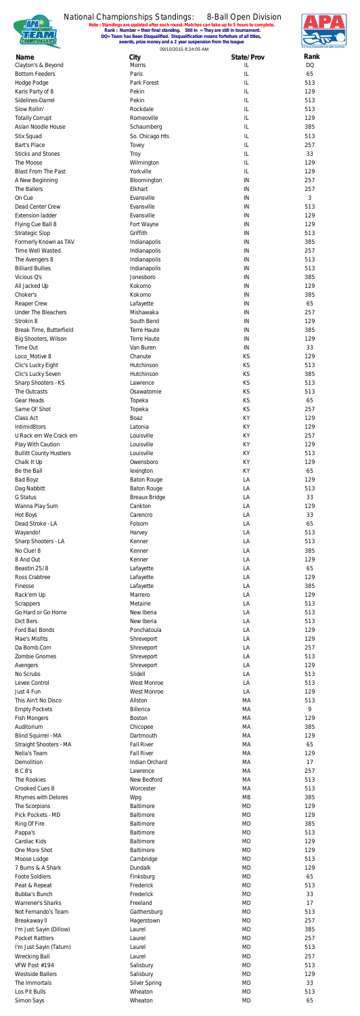

## National Championships Standings:

**Note : Standings are updated after each round. Matches can take up to 5 hours to complete. Rank : Number = their final standing. Still In = They are still in tournament.** 8-Ball Open Division **DQ= Team has Been Disqualified. Disqualification means forfeiture of all titles, awards, prize money and a 2 year suspension from the league**





| Name<br>Clayton's & Beyond                     | City<br>Morris             | State/Prov<br>IL | Rank<br><b>DQ</b> |
|------------------------------------------------|----------------------------|------------------|-------------------|
| <b>Bottom Feeders</b>                          | Paris                      | IL               | 65                |
| Hodge Podge                                    | Park Forest                | IL               | 513               |
| Karis Party of 8                               | Pekin                      | IL               | 129               |
| Sidelines-Darrel<br>Slow Rollin'               | Pekin<br>Rockdale          | IL<br>IL         | 513<br>513        |
| <b>Totally Corrupt</b>                         | Romeoville                 | IL               | 129               |
| Asian Noodle House                             | Schaumberg                 | IL               | 385               |
| Stix Squad                                     | So. Chicago Hts            | IL               | 513               |
| <b>Bart's Place</b>                            | Tovey                      | IL               | 257               |
| <b>Sticks and Stones</b>                       | <b>Troy</b>                | IL               | 33                |
| The Moose<br><b>Blast From The Past</b>        | Wilmington<br>Yorkville    | IL<br>IL         | 129<br>129        |
| A New Beginning                                | Bloomington                | IN               | 257               |
| The Ballers                                    | Elkhart                    | IN               | 257               |
| On Cue                                         | Evansville                 | IN               | 3                 |
| Dead Center Crew                               | Evansville                 | IN               | 513               |
| <b>Extension ladder</b>                        | Evansville                 | IN               | 129               |
| Flying Cue Ball 8<br><b>Strategic Slop</b>     | Fort Wayne<br>Griffith     | IN<br>IN         | 129<br>513        |
| Formerly Known as TAV                          | Indianapolis               | IN               | 385               |
| Time Well Wasted                               | Indianapolis               | IN               | 257               |
| The Avengers 8                                 | Indianapolis               | IN               | 513               |
| <b>Billiard Bullies</b>                        | Indianapolis               | IN               | 513               |
| Vicious Q's                                    | Jonesboro                  | IN               | 385               |
| All Jacked Up                                  | Kokomo                     | IN               | 129               |
| Choker's<br>Reaper Crew                        | Kokomo<br>Lafayette        | IN<br>IN         | 385<br>65         |
| <b>Under The Bleachers</b>                     | Mishawaka                  | IN               | 257               |
| Strokin 8                                      | South Bend                 | IN               | 129               |
| Break Time, Butterfield                        | <b>Terre Haute</b>         | IN               | 385               |
| Big Shooters, Wilson                           | <b>Terre Haute</b>         | IN               | 129               |
| Time Out                                       | Van Buren                  | IN               | 33                |
| Loco_Motive 8<br>Clic's Lucky Eight            | Chanute<br>Hutchinson      | KS<br>KS         | 129<br>513        |
| Clic's Lucky Seven                             | Hutchinson                 | KS               | 385               |
| Sharp Shooters - KS                            | Lawrence                   | KS               | 513               |
| The Outcasts                                   | Osawatomie                 | KS               | 513               |
| Gear Heads                                     | Topeka                     | <b>KS</b>        | 65                |
| Same OI' Shot                                  | Topeka                     | KS               | 257               |
| Class Act                                      | Boaz                       | KY               | 129               |
| Intimid8tors<br>U Rack em We Crack em          | Latonia<br>Louisville      | KY<br>KY         | 129<br>257        |
| Play With Caution                              | Louisville                 | KY               | 129               |
| <b>Bullitt County Hustlers</b>                 | Louisville                 | KY               | 513               |
| Chalk It Up                                    | Owensboro                  | KY               | 129               |
| Be the Ball                                    | lexington                  | KY               | 65                |
| <b>Bad Boyz</b>                                | <b>Baton Rouge</b>         | LA               | 129               |
| Dag Nabbitt                                    | <b>Baton Rouge</b>         | LA               | 513               |
| G Status                                       | <b>Breaux Bridge</b>       | LA               | 33                |
| Wanna Play Sum<br>Hot Boys                     | Cankton<br>Carencro        | LA<br>LA         | 129<br>33         |
| Dead Stroke - LA                               | Folsom                     | LA               | 65                |
| Wayando!                                       | Harvey                     | LA               | 513               |
| Sharp Shooters - LA                            | Kenner                     | LA               | 513               |
| No Clue! 8                                     | Kenner                     | LA               | 385               |
| 8 And Out                                      | Kenner                     | LA               | 129               |
| Beastin 25/8                                   | Lafayette                  | LA               | 65                |
| Ross Crabtree<br>Finesse                       | Lafayette<br>Lafayette     | LA<br>LA         | 129<br>385        |
| Rack'em Up                                     | Marrero                    | LA               | 129               |
| Scrappers                                      | Metairie                   | LA               | 513               |
| Go Hard or Go Home                             | New Iberia                 | LA               | 513               |
| Dict 8ers                                      | New Iberia                 | LA               | 513               |
| Ford Bail Bonds                                | Ponchatoula                | LA               | 129               |
| Mae's Misfits<br>Da Bomb.Com                   | Shreveport                 | LA<br>LA         | 129<br>257        |
| Zombie Gnomes                                  | Shreveport<br>Shreveport   | LA               | 513               |
| Avengers                                       | Shreveport                 | LA               | 129               |
| No Scrubs                                      | Slidell                    | LA               | 513               |
| Levee Control                                  | <b>West Monroe</b>         | LA               | 513               |
| Just 4 Fun                                     | <b>West Monroe</b>         | LA               | 129               |
| This Ain't No Disco                            | Allston                    | MA               | 513               |
| <b>Empty Pockets</b><br><b>Fish Mongers</b>    | Billerica<br><b>Boston</b> | MA<br>MA         | 9<br>129          |
| Auditorium                                     | Chicopee                   | МA               | 385               |
| <b>Blind Squirrel - MA</b>                     | Dartmouth                  | MA               | 129               |
| <b>Straight Shooters - MA</b>                  | <b>Fall River</b>          | MA               | 65                |
| Nelia's Team                                   | <b>Fall River</b>          | MA               | 129               |
| Demolition                                     | Indian Orchard             | MA               | 17                |
| BC8's                                          | Lawrence                   | MA               | 257               |
| The Rookies                                    | New Bedford                | MA               | 513               |
| Crooked Cues 8<br>Rhymes with Delores          | Worcester<br>Wpg           | MA<br>MB         | 513<br>385        |
| The Scorpions                                  | Baltimore                  | <b>MD</b>        | 129               |
| Pick Pockets - MD                              | Baltimore                  | MD               | 129               |
| Ring Of Fire                                   | Baltimore                  | <b>MD</b>        | 385               |
| Pappa's                                        | Baltimore                  | MD               | 513               |
| Cardiac Kids                                   | Baltimore                  | <b>MD</b>        | 129               |
| One More Shot                                  | Baltimore                  | MD<br><b>MD</b>  | 129<br>513        |
| Moose Lodge<br>7 Bums & A Shark                | Cambridge<br>Dundalk       | MD               | 129               |
| <b>Foote Soldiers</b>                          | Finksburg                  | <b>MD</b>        | 65                |
| Peat & Repeat                                  | Frederick                  | MD               | 513               |
| Bubba's Bunch                                  | Frederick                  | <b>MD</b>        | 33                |
| <b>Warrener's Sharks</b>                       | Freeland                   | MD               | 17                |
| Not Fernando's Team                            | Gaithersburg               | <b>MD</b>        | 513               |
| Breakaway II                                   | Hagerstown                 | MD               | 257               |
| I'm Just Sayin (Dillow)                        | Laurel                     | <b>MD</b>        | 385               |
| <b>Pocket Rattlers</b>                         | Laurel<br>Laurel           | MD<br><b>MD</b>  | 257               |
| I'm Just Sayin (Tatum)<br><b>Wrecking Ball</b> | Laurel                     | MD               | 513<br>257        |
| VFW Post #194                                  | Salisbury                  | <b>MD</b>        | 513               |
| <b>Westside Ballers</b>                        | Salisbury                  | MD               | 129               |
| The Immortals                                  | <b>Silver Spring</b>       | <b>MD</b>        | 33                |
| Los Pit Bulls                                  | Wheaton                    | MD               | 513               |
| Simon Says                                     | Wheaton                    | <b>MD</b>        | 65                |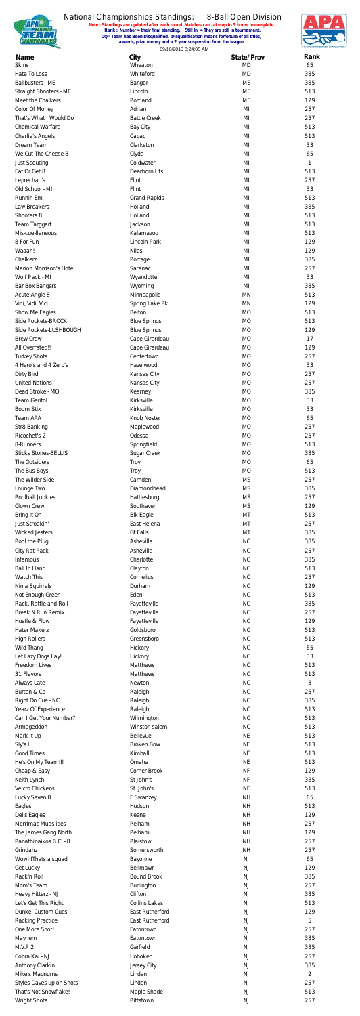

### National Championships Standings:

**Note : Standings are updated after each round. Matches can take up to 5 hours to complete. Rank : Number = their final standing. Still In = They are still in tournament.** 8-Ball Open Division **DQ= Team has Been Disqualified. Disqualification means forfeiture of all titles, awards, prize money and a 2 year suspension from the league**





| Name                                         | City                            | State/Prov             | Rank           |
|----------------------------------------------|---------------------------------|------------------------|----------------|
| <b>Skins</b>                                 | Wheaton                         | <b>MD</b>              | 65             |
| Hate To Lose<br>Ballbusters - ME             | Whiteford<br>Bangor             | <b>MD</b><br>МE        | 385<br>385     |
| <b>Straight Shooters - ME</b>                | Lincoln                         | <b>ME</b>              | 513            |
| Meet the Chalkers                            | Portland                        | ME                     | 129            |
| Color Of Money                               | Adrian                          | MI                     | 257            |
| That's What I Would Do                       | <b>Battle Creek</b>             | MI                     | 257            |
| <b>Chemical Warfare</b>                      | <b>Bay City</b>                 | MI                     | 513            |
| Charlie's Angels<br>Dream Team               | Capac<br>Clarkston              | MI<br>MI               | 513<br>33      |
| We Cut The Cheese 8                          | Clyde                           | MI                     | 65             |
| <b>Just Scouting</b>                         | Coldwater                       | MI                     | 1              |
| Eat Or Get 8                                 | Dearborn Hts                    | MI                     | 513            |
| Leprechan's                                  | Flint                           | MI                     | 257            |
| Old School - MI                              | Flint                           | MI                     | 33             |
| Runnin Em                                    | <b>Grand Rapids</b>             | MI                     | 513            |
| Law Breakers<br>Shooters 8                   | Holland<br>Holland              | MI<br>MI               | 385<br>513     |
| Team Targgart                                | Jackson                         | MI                     | 513            |
| Mis-cue-Ilaneous                             | Kalamazoo                       | MI                     | 513            |
| 8 For Fun                                    | Lincoln Park                    | MI                     | 129            |
| Waaah!                                       | <b>Niles</b>                    | MI                     | 129            |
| Chalkerz                                     | Portage                         | MI                     | 385            |
| Marion Morrison's Hotel                      | Saranac                         | MI                     | 257            |
| Wolf Pack - MI                               | Wyandotte                       | MI                     | 33             |
| Bar Box Bangers                              | Wyoming<br>Minneapolis          | MI<br>MN               | 385<br>513     |
| Acute Angle 8<br>Vini, Vidi, Vici            | Spring Lake Pk                  | <b>MN</b>              | 129            |
| Show Me Eagles                               | Belton                          | <b>MO</b>              | 513            |
| Side Pockets-BROCK                           | <b>Blue Springs</b>             | <b>MO</b>              | 513            |
| Side Pockets-LUSHBOUGH                       | <b>Blue Springs</b>             | <b>MO</b>              | 129            |
| <b>Brew Crew</b>                             | Cape Girardeau                  | <b>MO</b>              | 17             |
| All Overrated!!                              | Cape Girardeau                  | <b>MO</b>              | 129            |
| <b>Turkey Shots</b><br>4 Hero's and 4 Zero's | Centertown<br>Hazelwood         | <b>MO</b><br><b>MO</b> | 257<br>33      |
| Dirty Bird                                   | Kansas City                     | <b>MO</b>              | 257            |
| <b>United Nations</b>                        | Kansas City                     | <b>MO</b>              | 257            |
| Dead Stroke - MO                             | Kearney                         | <b>MO</b>              | 385            |
| <b>Team Geritol</b>                          | Kirksville                      | <b>MO</b>              | 33             |
| <b>Boom Stix</b>                             | Kirksville                      | <b>MO</b>              | 33             |
| Team APA                                     | Knob Noster                     | <b>MO</b>              | 65             |
| Str8 Banking                                 | Maplewood                       | <b>MO</b>              | 257            |
| Ricochet's 2<br>8-Runners                    | Odessa                          | <b>MO</b><br><b>MO</b> | 257<br>513     |
| <b>Sticks Stones-BELLIS</b>                  | Springfield<br>Sugar Creek      | <b>MO</b>              | 385            |
| The Outsiders                                | Troy                            | <b>MO</b>              | 65             |
| The Bus Boys                                 | Troy                            | <b>MO</b>              | 513            |
| The Wilder Side                              | Camden                          | <b>MS</b>              | 257            |
| Lounge Two                                   | Diamondhead                     | <b>MS</b>              | 385            |
| Poolhall Junkies                             | Hattiesburg                     | <b>MS</b>              | 257            |
| Clown Crew                                   | Southaven                       | <b>MS</b>              | 129            |
| Bring It On<br>Just Stroakin'                | <b>Blk Eagle</b><br>East Helena | MT<br>MT               | 513<br>257     |
| <b>Wicked Jesters</b>                        | <b>Gt Falls</b>                 | MT                     | 385            |
| Pool the Plug                                | Asheville                       | <b>NC</b>              | 385            |
| City Rat Pack                                | Asheville                       | <b>NC</b>              | 257            |
| Infamous                                     | Charlotte                       | <b>NC</b>              | 385            |
| <b>Ball In Hand</b>                          | Clayton                         | <b>NC</b>              | 513            |
| Watch This                                   | Cornelius                       | <b>NC</b>              | 257            |
| Ninja Squirrels                              | Durham<br>Eden                  | <b>NC</b><br><b>NC</b> | 129<br>513     |
| Not Enough Green<br>Rack, Rattle and Roll    | Fayetteville                    | <b>NC</b>              | 385            |
| <b>Break N Run Remix</b>                     | Fayetteville                    | <b>NC</b>              | 257            |
| Hustle & Flow                                | Fayetteville                    | <b>NC</b>              | 129            |
| <b>Hater Makerz</b>                          | Goldsboro                       | <b>NC</b>              | 513            |
| <b>High Rollers</b>                          | Greensboro                      | <b>NC</b>              | 513            |
| Wild Thang                                   | Hickory                         | <b>NC</b>              | 65             |
| Let Lazy Dogs Lay!<br>Freedom Lives          | Hickory<br>Matthews             | <b>NC</b><br><b>NC</b> | 33<br>513      |
| 31 Flavors                                   | Matthews                        | <b>NC</b>              | 513            |
| <b>Always Late</b>                           | Newton                          | <b>NC</b>              | 3              |
| Burton & Co                                  | Raleigh                         | <b>NC</b>              | 257            |
| Right On Cue - NC                            | Raleigh                         | <b>NC</b>              | 385            |
| Yearz Of Experience                          | Raleigh                         | <b>NC</b>              | 513            |
| Can I Get Your Number?                       | Wilmington<br>Winston-salem     | <b>NC</b><br><b>NC</b> | 513<br>513     |
| Armageddon<br>Mark It Up                     | Bellevue                        | <b>NE</b>              | 513            |
| Sly's II                                     | <b>Broken Bow</b>               | <b>NE</b>              | 513            |
| Good Times I                                 | Kimball                         | <b>NE</b>              | 513            |
| He's On My Team!!!                           | Omaha                           | <b>NE</b>              | 513            |
| Cheap & Easy                                 | Corner Brook                    | <b>NF</b>              | 129            |
| Keith Lynch                                  | St John's                       | <b>NF</b>              | 385            |
| Velcro Chickens                              | St. John's                      | <b>NF</b>              | 513            |
| Lucky Seven 8<br>Eagles                      | E Swanzey<br>Hudson             | <b>NH</b><br><b>NH</b> | 65<br>513      |
| Del's Eagles                                 | Keene                           | <b>NH</b>              | 129            |
| <b>Merrimac Mudslides</b>                    | Pelham                          | <b>NH</b>              | 257            |
| The James Gang North                         | Pelham                          | <b>NH</b>              | 129            |
| Panathinaikos B.C. - 8                       | Plaistow                        | <b>NH</b>              | 257            |
| Grindahz                                     | Somersworth                     | <b>NH</b>              | 257            |
| Wow!!!Thats a squad                          | Bayonne                         | NJ                     | 65             |
| Get Lucky<br>Rack'n Roll                     | Bellmawr<br><b>Bound Brook</b>  | NJ<br><b>NJ</b>        | 129<br>385     |
| Mom's Team                                   | Burlington                      | NJ                     | 257            |
| Heavy Hitterz - NJ                           | Clifton                         | <b>NJ</b>              | 385            |
| Let's Get This Right                         | <b>Collins Lakes</b>            | NJ                     | 513            |
| <b>Dunkel Custom Cues</b>                    | East Rutherford                 | NJ                     | 129            |
| Racking Practice                             | East Rutherford                 | NJ                     | 5              |
| One More Shot!                               | Eatontown                       | <b>NJ</b>              | 257            |
| Mayhem                                       | Eatontown                       | NJ                     | 385            |
| <b>M.V.P 2</b><br>Cobra Kai - NJ             | Garfield<br>Hoboken             | NJ<br>NJ               | 385<br>257     |
| Anthony Clarkin                              | Jersey City                     | <b>NJ</b>              | 385            |
| Mike's Magnums                               | Linden                          | NJ                     | $\overline{2}$ |
| Styles Daves up on Shots                     | Linden                          | NJ                     | 257            |
| That's Not Snowflake!                        | Maple Shade                     | NJ                     | 513            |
| <b>Wright Shots</b>                          | Pittstown                       | <b>NJ</b>              | 257            |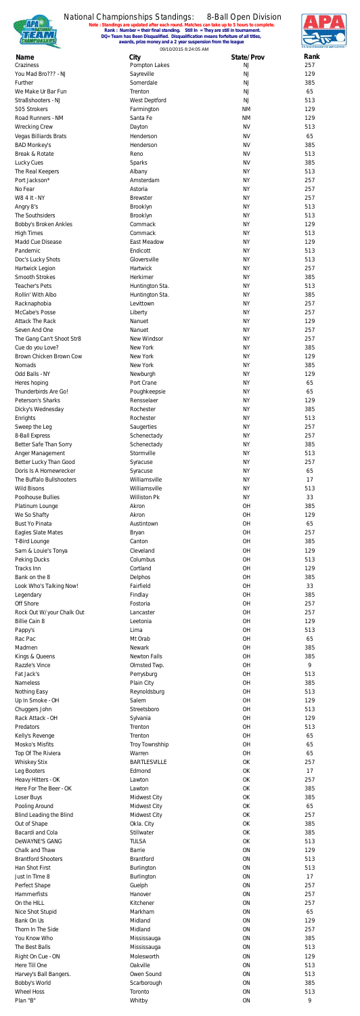

**Note : Standings are updated after each round. Matches can take up to 5 hours to complete. Rank : Number = their final standing. Still In = They are still in tournament. DQ= Team has Been Disqualified. Disqualification means forfeiture of all titles, awards, prize money and a 2 year suspension from the league**



09/10/2015 8:24:05 AM

| Name                      | City                  | State/Prov | Rank |
|---------------------------|-----------------------|------------|------|
| Craziness                 | Pompton Lakes         | NJ         | 257  |
| You Mad Bro??? - NJ       | Sayreville            | NJ         | 129  |
| Further                   | Somerdale             | <b>NJ</b>  | 385  |
| We Make Ur Bar Fun        | Trenton               | NJ         | 65   |
| Stra8shooters - NJ        | West Deptford         | NJ         | 513  |
| 505 Strokers              | Farmington            | <b>NM</b>  | 129  |
| Road Runners - NM         | Santa Fe              | <b>NM</b>  | 129  |
| <b>Wrecking Crew</b>      | Dayton                | <b>NV</b>  | 513  |
| Vegas Billiards Brats     | Henderson             | <b>NV</b>  | 65   |
| <b>BAD Monkey's</b>       | Henderson             | <b>NV</b>  | 385  |
| Break & Rotate            | Reno                  | <b>NV</b>  | 513  |
| Lucky Cues                | Sparks                | <b>NV</b>  | 385  |
| The Real Keepers          | Albany                | <b>NY</b>  | 513  |
| Port Jackson*             | Amsterdam             | <b>NY</b>  | 257  |
| No Fear                   | Astoria               | <b>NY</b>  | 257  |
| W8 4 It - NY              | <b>Brewster</b>       | <b>NY</b>  | 257  |
| Angry 8's                 | Brooklyn              | <b>NY</b>  | 513  |
| The Southsiders           | Brooklyn              | <b>NY</b>  | 513  |
| Bobby's Broken Ankles     | Commack               | <b>NY</b>  | 129  |
| <b>High Times</b>         | Commack               | <b>NY</b>  | 513  |
| Madd Cue Disease          | East Meadow           | <b>NY</b>  | 129  |
| Pandemic                  | Endicott              | <b>NY</b>  | 513  |
| Doc's Lucky Shots         | Gloversville          | <b>NY</b>  | 513  |
| Hartwick Legion           | Hartwick              | <b>NY</b>  | 257  |
| <b>Smooth Strokes</b>     | Herkimer              | <b>NY</b>  | 385  |
| <b>Teacher's Pets</b>     | Huntington Sta.       | <b>NY</b>  | 513  |
| Rollin' With Albo         | Huntington Sta.       | <b>NY</b>  | 385  |
| Racknaphobia              | Levittown             | <b>NY</b>  | 257  |
| McCabe's Posse            | Liberty               | <b>NY</b>  | 257  |
| <b>Attack The Rack</b>    | Nanuet                | <b>NY</b>  | 129  |
|                           |                       |            |      |
| Seven And One             | Nanuet                | <b>NY</b>  | 257  |
| The Gang Can't Shoot Str8 | New Windsor           | <b>NY</b>  | 257  |
| Cue do you Love?          | <b>New York</b>       | <b>NY</b>  | 385  |
| Brown Chicken Brown Cow   | New York              | <b>NY</b>  | 129  |
| Nomads                    | New York              | <b>NY</b>  | 385  |
| Odd Balls - NY            | Newburgh              | <b>NY</b>  | 129  |
| Heres hoping              | Port Crane            | <b>NY</b>  | 65   |
| Thunderbirds Are Go!      | Poughkeepsie          | <b>NY</b>  | 65   |
| Peterson's Sharks         | Rensselaer            | <b>NY</b>  | 129  |
| Dicky's Wednesday         | Rochester             | <b>NY</b>  | 385  |
| Enrights                  | Rochester             | <b>NY</b>  | 513  |
| Sweep the Leg             | Saugerties            | <b>NY</b>  | 257  |
| 8-Ball Express            | Schenectady           | <b>NY</b>  | 257  |
| Better Safe Than Sorry    | Schenectady           | <b>NY</b>  | 385  |
| Anger Management          | Stormville            | <b>NY</b>  | 513  |
| Better Lucky Than Good    | Syracuse              | <b>NY</b>  | 257  |
| Doris Is A Homewrecker    | Syracuse              | <b>NY</b>  | 65   |
| The Buffalo Bullshooters  | Williamsville         | <b>NY</b>  | 17   |
| <b>Wild Bisons</b>        | Williamsville         | <b>NY</b>  | 513  |
| Poolhouse Bullies         | Williston Pk          | <b>NY</b>  | 33   |
| Platinum Lounge           | Akron                 | OH         | 385  |
|                           | Akron                 | OH         | 129  |
| We So Shafty              |                       |            |      |
| <b>Bust Yo Pinata</b>     | Austintown            | OH         | 65   |
| Eagles Slate Mates        | <b>Bryan</b>          | OH         | 257  |
| T-Bird Lounge             | Canton                | OH         | 385  |
| Sam & Louie's Tonya       | Cleveland             | OH         | 129  |
| Peking Ducks              | Columbus              | OH         | 513  |
| Tracks Inn                | Cortland              | OH         | 129  |
| Bank on the 8             | Delphos               | OH         | 385  |
| Look Who's Talking Now!   | Fairfield             | OH         | 33   |
| Legendary                 | Findlay               | OH         | 385  |
| Off Shore                 | Fostoria              | OH         | 257  |
| Rock Out W/your Chalk Out | Lancaster             | OH         | 257  |
| <b>Billie Cain 8</b>      | Leetonia              | OH         | 129  |
| Pappy's                   | Lima                  | OH         | 513  |
| Rac Pac                   | Mt Orab               | OH         | 65   |
| Madmen                    | Newark                | OH         | 385  |
| Kings & Queens            | <b>Newton Falls</b>   | OH         | 385  |
| Razzle's Vince            |                       | OH         | 9    |
|                           | Olmsted Twp.          |            |      |
| Fat Jack's                | Perrysburg            | OH         | 513  |
| <b>Nameless</b>           | Plain City            | OH         | 385  |
| Nothing Easy              | Reynoldsburg          | OH         | 513  |
| Up In Smoke - OH          | Salem                 | OH         | 129  |
| Chuggers John             | Streetsboro           | OH         | 513  |
| Rack Attack - OH          | Sylvania              | OH         | 129  |
| Predators                 | Trenton               | OH         | 513  |
| Kelly's Revenge           | Trenton               | OH         | 65   |
| Mosko's Misfits           | <b>Troy Townshhip</b> | OH         | 65   |
| Top Of The Riviera        | Warren                | OH         | 65   |
| <b>Whiskey Stix</b>       | <b>BARTLESVILLE</b>   | OK         | 257  |
| Leg Booters               | Edmond                | OK         | 17   |
| Heavy Hitters - OK        | Lawton                | OK         | 257  |
| Here For The Beer - OK    | Lawton                | OK         | 385  |
| Loser Buys                | <b>Midwest City</b>   | OK         | 385  |
| Pooling Around            | Midwest City          | OK         | 65   |
| Blind Leading the Blind   | Midwest City          | OK         | 257  |
| Out of Shape              | Okla. City            | OK         | 385  |
| Bacardi and Cola          | Stillwater            | OK         | 385  |
| DeWAYNE'S GANG            | <b>TULSA</b>          | OK         | 513  |
| Chalk and Thaw            | <b>Barrie</b>         | ON         | 129  |
| <b>Brantford Shooters</b> | <b>Brantford</b>      | ON         | 513  |
| Han Shot First            |                       | ON         | 513  |
|                           | Burlington            |            |      |
| Just In TIme 8            | Burlington            | <b>ON</b>  | 17   |
| Perfect Shape             | Guelph                | <b>ON</b>  | 257  |
| Hammerfists               | Hanover               | <b>ON</b>  | 257  |
| On the HILL               | Kitchener             | ON         | 257  |
| Nice Shot Stupid          | Markham               | <b>ON</b>  | 65   |
| Bank On Us                | Midland               | <b>ON</b>  | 129  |
| Thorn In The Side         | Midland               | <b>ON</b>  | 257  |
| You Know Who              | Mississauga           | ON         | 385  |
| The Best Balls            | Mississauga           | <b>ON</b>  | 513  |
| Right On Cue - ON         | Molesworth            | <b>ON</b>  | 129  |
| Here Till One             | Oakville              | <b>ON</b>  | 513  |
| Harvey's Ball Bangers.    | Owen Sound            | ON         | 513  |
| Bobby's World             | Scarborough           | <b>ON</b>  | 385  |
| <b>Wheel Hoss</b>         | Toronto               | ON         | 513  |
| Plan "B"                  | Whitby                | ON         | 9    |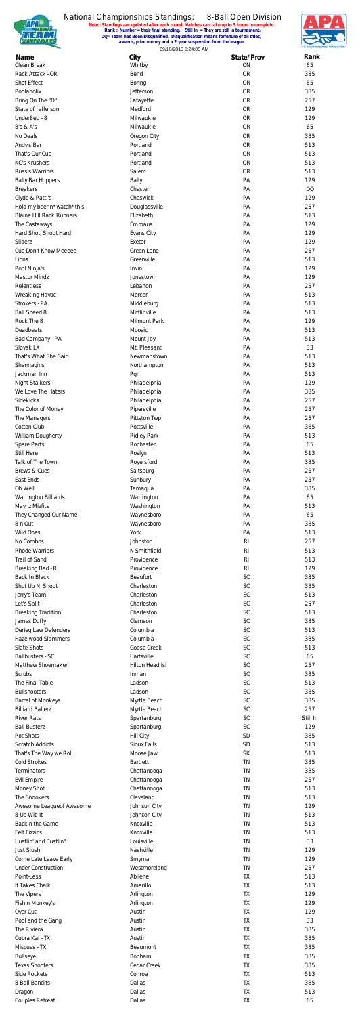

**Note : Standings are updated after each round. Matches can take up to 5 hours to complete. Rank : Number = their final standing. Still In = They are still in tournament. DQ= Team has Been Disqualified. Disqualification means forfeiture of all titles, awards, prize money and a 2 year suspension from the league**



09/10/2015 8:24:05 AM

| Name                            | City                                   | State/Prov     | Rank      |
|---------------------------------|----------------------------------------|----------------|-----------|
| Clean Break                     | Whitby                                 | ON             | 65        |
| Rack Attack - OR                | Bend                                   | <b>OR</b>      | 385       |
| Shot Effect                     | <b>Boring</b>                          | <b>OR</b>      | 65        |
| Poolaholix                      | Jefferson                              | <b>OR</b>      | 385       |
| Bring On The "D"                | Lafayette                              | <b>OR</b>      | 257       |
| State of Jefferson              | Medford                                | <b>OR</b>      | 129       |
| Under8ed - 8                    | Milwaukie                              | <b>OR</b>      | 129       |
| 8's & A's                       | Milwaukie                              | <b>OR</b>      | 65        |
| No Deals                        | Oregon City                            | <b>OR</b>      | 385       |
| Andy's Bar                      | Portland                               | <b>OR</b>      | 513       |
| That's Our Cue                  | Portland                               | <b>OR</b>      | 513       |
| <b>KC's Krushers</b>            | Portland                               | <b>OR</b>      | 513       |
| Russ's Warriors                 | Salem                                  | <b>OR</b>      | 513       |
| <b>Bally Bar Hoppers</b>        | Bally                                  | PA             | 129       |
| <b>Breakers</b>                 | Chester                                | PA             | <b>DQ</b> |
|                                 |                                        |                |           |
| Clyde & Patti's                 | Cheswick                               | PA             | 129       |
| Hold my beer n*watch*this       | Douglassville                          | PA             | 257       |
| <b>Blaine Hill Rack Runners</b> | Elizabeth                              | PA             | 513       |
| The Castaways                   | Emmaus                                 | PA             | 129       |
| Hard Shot, Shoot Hard           | Evans City                             | PA             | 129       |
| Sliderz                         | Exeter                                 | PA             | 129       |
| Cue Don't Know Meeeee           | Green Lane                             | PA             | 257       |
| Lions                           | Greenville                             | PA             | 513       |
| Pool Ninja's                    | Irwin                                  | PA             | 129       |
| <b>Mastor Mindz</b>             | Jonestown                              | PA             | 129       |
| Relentless                      | Lebanon                                | PA             | 257       |
|                                 |                                        |                |           |
| Wreaking Havoc                  | Mercer                                 | PA             | 513       |
| Strokers - PA                   | Middleburg                             | PA             | 513       |
| <b>Ball Speed 8</b>             | Mifflinville                           | PA             | 513       |
| Rock The 8                      | Milmont Park                           | PA             | 129       |
| Deadbeets                       | Moosic                                 | PA             | 513       |
| Bad Company - PA                | Mount Joy                              | PA             | 513       |
| Slovak LX                       | Mt. Pleasant                           | PA             | 33        |
| That's What She Said            | Newmanstown                            | PA             | 513       |
| Shennagins                      | Northampton                            | PA             | 513       |
| Jackman Inn                     | Pgh                                    | PA             | 513       |
| <b>Night Stalkers</b>           | Philadelphia                           | PA             | 129       |
| We Love The Haters              |                                        |                |           |
| Sidekicks                       | Philadelphia                           | PA             | 385       |
|                                 | Philadelphia                           | PA             | 257       |
| The Color of Money              | Pipersville                            | PA             | 257       |
| The Managers                    | Pittston Twp                           | PA             | 257       |
| Cotton Club                     | Pottsville                             | PA             | 385       |
| William Dougherty               | <b>Ridley Park</b>                     | PA             | 513       |
| Spare Parts                     | Rochester                              | PA             | 65        |
| Still Here                      | Roslyn                                 | PA             | 513       |
| Talk of The Town                | Royersford                             | PA             | 385       |
| Brews & Cues                    | Saltsburg                              | PA             | 257       |
| East Ends                       | Sunbury                                | PA             | 257       |
| Oh Well                         |                                        | PA             | 385       |
|                                 | Tamaqua                                |                |           |
| <b>Warrington Billiards</b>     | Warrington                             | PA             | 65        |
| Mayr'z Mizfits                  | Washington                             | PA             | 513       |
| They Changed Our Name           | Waynesboro                             | PA             | 65        |
| 8-n-Out                         | Waynesboro                             | PA             | 385       |
| <b>Wild Ones</b>                | York                                   | PA             | 513       |
| No Combos                       | Johnston                               | R <sub>l</sub> | 257       |
| <b>Rhode Warriors</b>           | N Smithfield                           | R <sub>l</sub> | 513       |
| <b>Trail of Sand</b>            | Providence                             | R <sub>l</sub> | 513       |
| Breaking Bad - RI               | Providence                             | R <sub>l</sub> | 129       |
| <b>Back In Black</b>            | Beaufort                               | SC             | 385       |
| Shut Up N Shoot                 | Charleston                             | SC             | 385       |
| Jerry's Team                    | Charleston                             | SC             | 513       |
|                                 | Charleston                             | <b>SC</b>      | 257       |
| Let's Split                     |                                        |                |           |
| <b>Breaking Tradition</b>       | Charleston                             | <b>SC</b>      | 513       |
| James Duffy                     | Clemson                                | <b>SC</b>      | 385       |
| Derieg Law Defenders            | Columbia                               | SC             | 513       |
| <b>Hazelwood Slammers</b>       | Columbia                               | <b>SC</b>      | 385       |
| Slate Shots                     | Goose Creek                            | SC             | 513       |
| Ballbusters - SC                | Hartsville                             | SC             | 65        |
| Matthew Shoemaker               | Hilton Head Isl                        | <b>SC</b>      | 257       |
| Scrubs                          | Inman                                  | <b>SC</b>      | 385       |
| The Final Table                 | Ladson                                 | <b>SC</b>      | 513       |
| <b>Bullshooters</b>             | Ladson                                 | SC             | 385       |
| <b>Barrel of Monkeys</b>        | Myrtle Beach                           | SC             | 385       |
| <b>Billiard Ballerz</b>         | Myrtle Beach                           | SC             | 257       |
| <b>River Rats</b>               | Spartanburg                            | SC             | Still In  |
| <b>Ball Busterz</b>             | Spartanburg                            | <b>SC</b>      | 129       |
| Pot Shots                       |                                        | <b>SD</b>      | 385       |
|                                 | <b>Hill City</b><br><b>Sioux Falls</b> | SD             |           |
| <b>Scratch Addicts</b>          |                                        |                | 513       |
| That's The Way we Roll          | Moose Jaw                              | <b>SK</b>      | 513       |
| <b>Cold Strokes</b>             | <b>Bartlett</b>                        | <b>TN</b>      | 385       |
| Terminators                     | Chattanooga                            | <b>TN</b>      | 385       |
| <b>Evil Empire</b>              | Chattanooga                            | <b>TN</b>      | 257       |
| Money Shot                      | Chattanooga                            | <b>TN</b>      | 513       |
| The Snookers                    | Cleveland                              | <b>TN</b>      | 513       |
| Awesome Leagueof Awesome        | Johnson City                           | <b>TN</b>      | 129       |
| 8 Up Wit' It                    | Johnson City                           | <b>TN</b>      | 513       |
| Back-n-the-Game                 | Knoxville                              | <b>TN</b>      | 513       |
| <b>Felt Fizzics</b>             | Knoxville                              | <b>TN</b>      | 513       |
| Hustlin' and Bustlin"           | Louisville                             | <b>TN</b>      | 33        |
| <b>Just Slush</b>               | Nashville                              | <b>TN</b>      |           |
|                                 |                                        |                | 129       |
| Come Late Leave Early           | Smyrna                                 | <b>TN</b>      | 129       |
| <b>Under Construction</b>       | Westmoreland                           | <b>TN</b>      | 257       |
| Point-Less                      | Abilene                                | TX.            | 513       |
| It Takes Chalk                  | Amarillo                               | <b>TX</b>      | 513       |
| The Vipers                      | Arlington                              | TX             | 129       |
| Fishin Monkey's                 | Arlington                              | <b>TX</b>      | 129       |
| Over Cut                        | Austin                                 | TX             | 129       |
| Pool and the Gang               | Austin                                 | <b>TX</b>      | 33        |
| The Riviera                     | Austin                                 | TX             | 385       |
| Cobra Kai - TX                  | Austin                                 | <b>TX</b>      | 385       |
| Miscues - TX                    | Beaumont                               | TX             | 385       |
|                                 |                                        |                |           |
| <b>Bullseye</b>                 | Bonham                                 | <b>TX</b>      | 385       |
| <b>Texas Shooters</b>           | Cedar Creek                            | TX             | 385       |
| Side Pockets                    | Conroe                                 | <b>TX</b>      | 513       |
| 8 Ball Bandits                  | Dallas                                 | TX             | 385       |
| Dragon                          | Dallas                                 | <b>TX</b>      | 513       |
| <b>Couples Retreat</b>          | Dallas                                 | TX             | 65        |